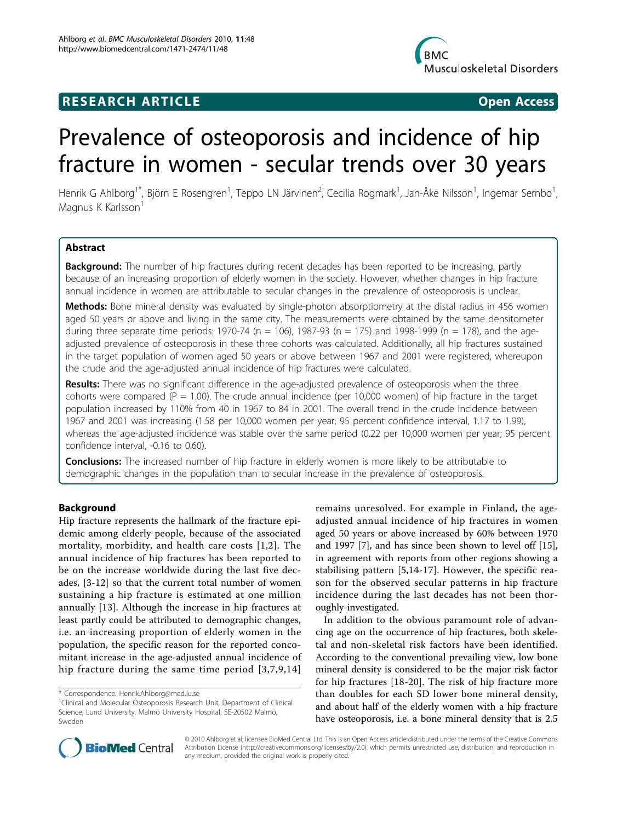



# Prevalence of osteoporosis and incidence of hip fracture in women - secular trends over 30 years

Henrik G Ahlborg<sup>1\*</sup>, Björn E Rosengren<sup>1</sup>, Teppo LN Järvinen<sup>2</sup>, Cecilia Rogmark<sup>1</sup>, Jan-Åke Nilsson<sup>1</sup>, Ingemar Sernbo<sup>1</sup> , Magnus K Karlsson<sup>1</sup>

# Abstract

Background: The number of hip fractures during recent decades has been reported to be increasing, partly because of an increasing proportion of elderly women in the society. However, whether changes in hip fracture annual incidence in women are attributable to secular changes in the prevalence of osteoporosis is unclear.

**Methods:** Bone mineral density was evaluated by single-photon absorptiometry at the distal radius in 456 women aged 50 years or above and living in the same city. The measurements were obtained by the same densitometer during three separate time periods: 1970-74 (n = 106), 1987-93 (n = 175) and 1998-1999 (n = 178), and the ageadjusted prevalence of osteoporosis in these three cohorts was calculated. Additionally, all hip fractures sustained in the target population of women aged 50 years or above between 1967 and 2001 were registered, whereupon the crude and the age-adjusted annual incidence of hip fractures were calculated.

Results: There was no significant difference in the age-adjusted prevalence of osteoporosis when the three cohorts were compared ( $P = 1.00$ ). The crude annual incidence (per 10,000 women) of hip fracture in the target population increased by 110% from 40 in 1967 to 84 in 2001. The overall trend in the crude incidence between 1967 and 2001 was increasing (1.58 per 10,000 women per year; 95 percent confidence interval, 1.17 to 1.99), whereas the age-adjusted incidence was stable over the same period (0.22 per 10,000 women per year; 95 percent confidence interval, -0.16 to 0.60).

**Conclusions:** The increased number of hip fracture in elderly women is more likely to be attributable to demographic changes in the population than to secular increase in the prevalence of osteoporosis.

# Background

Hip fracture represents the hallmark of the fracture epidemic among elderly people, because of the associated mortality, morbidity, and health care costs [\[1,2](#page-5-0)]. The annual incidence of hip fractures has been reported to be on the increase worldwide during the last five decades, [[3-12](#page-5-0)] so that the current total number of women sustaining a hip fracture is estimated at one million annually [[13\]](#page-5-0). Although the increase in hip fractures at least partly could be attributed to demographic changes, i.e. an increasing proportion of elderly women in the population, the specific reason for the reported concomitant increase in the age-adjusted annual incidence of hip fracture during the same time period [[3](#page-5-0),[7](#page-5-0),[9](#page-5-0),[14](#page-5-0)]

remains unresolved. For example in Finland, the ageadjusted annual incidence of hip fractures in women aged 50 years or above increased by 60% between 1970 and 1997 [[7\]](#page-5-0), and has since been shown to level off [[15](#page-5-0)], in agreement with reports from other regions showing a stabilising pattern [\[5](#page-5-0),[14-17\]](#page-5-0). However, the specific reason for the observed secular patterns in hip fracture incidence during the last decades has not been thoroughly investigated.

In addition to the obvious paramount role of advancing age on the occurrence of hip fractures, both skeletal and non-skeletal risk factors have been identified. According to the conventional prevailing view, low bone mineral density is considered to be the major risk factor for hip fractures [[18-20](#page-5-0)]. The risk of hip fracture more than doubles for each SD lower bone mineral density, and about half of the elderly women with a hip fracture have osteoporosis, i.e. a bone mineral density that is 2.5



© 2010 Ahlborg et al; licensee BioMed Central Ltd. This is an Open Access article distributed under the terms of the Creative Commons Attribution License [\(http://creativecommons.org/licenses/by/2.0](http://creativecommons.org/licenses/by/2.0)), which permits unrestricted use, distribution, and reproduction in any medium, provided the original work is properly cited.

<sup>\*</sup> Correspondence: [Henrik.Ahlborg@med.lu.se](mailto:Henrik.Ahlborg@med.lu.se)

<sup>&</sup>lt;sup>1</sup>Clinical and Molecular Osteoporosis Research Unit, Department of Clinical Science, Lund University, Malmö University Hospital, SE-20502 Malmö, Sweden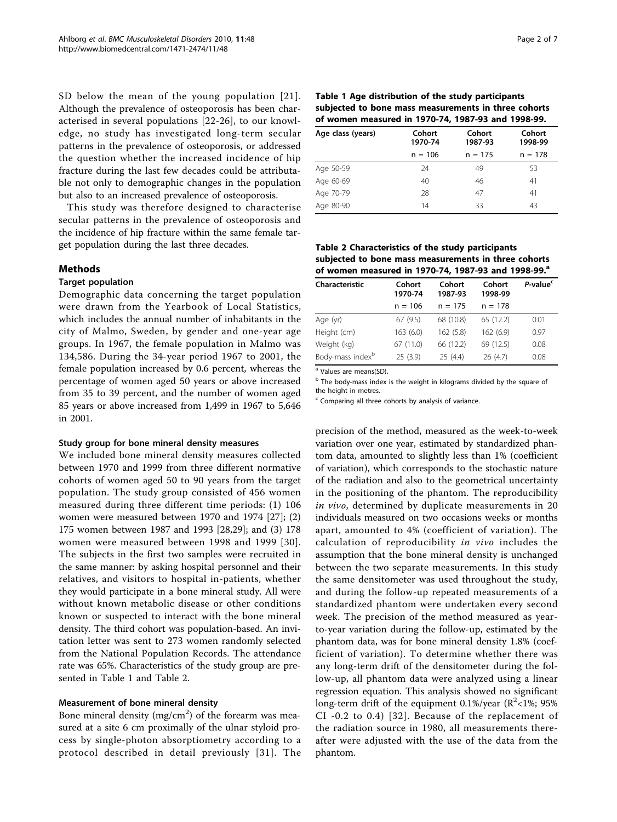<span id="page-1-0"></span>SD below the mean of the young population [[21\]](#page-5-0). Although the prevalence of osteoporosis has been characterised in several populations [[22](#page-5-0)-[26](#page-6-0)], to our knowledge, no study has investigated long-term secular patterns in the prevalence of osteoporosis, or addressed the question whether the increased incidence of hip fracture during the last few decades could be attributable not only to demographic changes in the population but also to an increased prevalence of osteoporosis.

This study was therefore designed to characterise secular patterns in the prevalence of osteoporosis and the incidence of hip fracture within the same female target population during the last three decades.

## Methods

#### **Target population**

Demographic data concerning the target population were drawn from the Yearbook of Local Statistics, which includes the annual number of inhabitants in the city of Malmo, Sweden, by gender and one-year age groups. In 1967, the female population in Malmo was 134,586. During the 34-year period 1967 to 2001, the female population increased by 0.6 percent, whereas the percentage of women aged 50 years or above increased from 35 to 39 percent, and the number of women aged 85 years or above increased from 1,499 in 1967 to 5,646 in 2001.

#### Study group for bone mineral density measures

We included bone mineral density measures collected between 1970 and 1999 from three different normative cohorts of women aged 50 to 90 years from the target population. The study group consisted of 456 women measured during three different time periods: (1) 106 women were measured between 1970 and 1974 [[27\]](#page-6-0); (2) 175 women between 1987 and 1993 [\[28,29](#page-6-0)]; and (3) 178 women were measured between 1998 and 1999 [[30\]](#page-6-0). The subjects in the first two samples were recruited in the same manner: by asking hospital personnel and their relatives, and visitors to hospital in-patients, whether they would participate in a bone mineral study. All were without known metabolic disease or other conditions known or suspected to interact with the bone mineral density. The third cohort was population-based. An invitation letter was sent to 273 women randomly selected from the National Population Records. The attendance rate was 65%. Characteristics of the study group are presented in Table 1 and Table 2.

## Measurement of bone mineral density

Bone mineral density (mg/cm<sup>2</sup>) of the forearm was measured at a site 6 cm proximally of the ulnar styloid process by single-photon absorptiometry according to a protocol described in detail previously [[31](#page-6-0)]. The

| Table 1 Age distribution of the study participants   |
|------------------------------------------------------|
| subjected to bone mass measurements in three cohorts |
| of women measured in 1970-74, 1987-93 and 1998-99.   |

| Age class (years) | Cohort<br>Cohort<br>1987-93<br>1970-74 |           | Cohort<br>1998-99 |  |
|-------------------|----------------------------------------|-----------|-------------------|--|
|                   | $n = 106$                              | $n = 175$ | $n = 178$         |  |
| Age 50-59         | 24                                     | 49        | 53                |  |
| Age 60-69         | 40                                     | 46        | 41                |  |
| Age 70-79         | 28                                     | 47        | 41                |  |
| Age 80-90         | 14                                     | 33        | 43                |  |

Table 2 Characteristics of the study participants subjected to bone mass measurements in three cohorts of women measured in 1970-74, 1987-93 and 1998-99.<sup>a</sup>

| Characteristic               | Cohort<br>1970-74 | Cohort<br>1987-93 | Cohort<br>1998-99 | P-value <sup>c</sup> |
|------------------------------|-------------------|-------------------|-------------------|----------------------|
|                              | $n = 106$         | $n = 175$         | $n = 178$         |                      |
| Age (yr)                     | 67(9.5)           | 68 (10.8)         | 65 (12.2)         | 0.01                 |
| Height (cm)                  | 163(6.0)          | 162(5.8)          | 162(6.9)          | 0.97                 |
| Weight (kg)                  | 67 (11.0)         | 66 (12.2)         | 69 (12.5)         | 0.08                 |
| Body-mass index <sup>b</sup> | 25(3.9)           | 25(4.4)           | 26(4.7)           | 0.08                 |

<sup>a</sup> Values are means(SD)

<sup>b</sup> The body-mass index is the weight in kilograms divided by the square of the height in metres.

<sup>c</sup> Comparing all three cohorts by analysis of variance.

precision of the method, measured as the week-to-week variation over one year, estimated by standardized phantom data, amounted to slightly less than 1% (coefficient of variation), which corresponds to the stochastic nature of the radiation and also to the geometrical uncertainty in the positioning of the phantom. The reproducibility in vivo, determined by duplicate measurements in 20 individuals measured on two occasions weeks or months apart, amounted to 4% (coefficient of variation). The calculation of reproducibility in vivo includes the assumption that the bone mineral density is unchanged between the two separate measurements. In this study the same densitometer was used throughout the study, and during the follow-up repeated measurements of a standardized phantom were undertaken every second week. The precision of the method measured as yearto-year variation during the follow-up, estimated by the phantom data, was for bone mineral density 1.8% (coefficient of variation). To determine whether there was any long-term drift of the densitometer during the follow-up, all phantom data were analyzed using a linear regression equation. This analysis showed no significant long-term drift of the equipment 0.1%/year ( $\mathbb{R}^2$ <1%; 95% CI -0.2 to 0.4) [[32\]](#page-6-0). Because of the replacement of the radiation source in 1980, all measurements thereafter were adjusted with the use of the data from the phantom.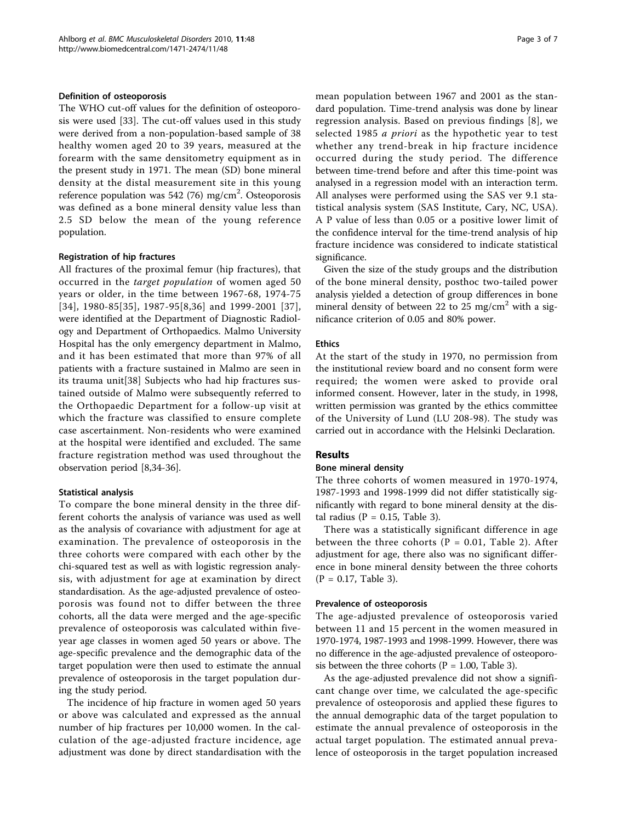## Definition of osteoporosis

The WHO cut-off values for the definition of osteoporosis were used [[33](#page-6-0)]. The cut-off values used in this study were derived from a non-population-based sample of 38 healthy women aged 20 to 39 years, measured at the forearm with the same densitometry equipment as in the present study in 1971. The mean (SD) bone mineral density at the distal measurement site in this young reference population was 542 (76) mg/cm<sup>2</sup>. Osteoporosis was defined as a bone mineral density value less than 2.5 SD below the mean of the young reference population.

# Registration of hip fractures

All fractures of the proximal femur (hip fractures), that occurred in the target population of women aged 50 years or older, in the time between 1967-68, 1974-75 [[34\]](#page-6-0), 1980-85[[35](#page-6-0)], 1987-95[[8](#page-5-0),[36](#page-6-0)] and 1999-2001 [[37\]](#page-6-0), were identified at the Department of Diagnostic Radiology and Department of Orthopaedics. Malmo University Hospital has the only emergency department in Malmo, and it has been estimated that more than 97% of all patients with a fracture sustained in Malmo are seen in its trauma unit[\[38](#page-6-0)] Subjects who had hip fractures sustained outside of Malmo were subsequently referred to the Orthopaedic Department for a follow-up visit at which the fracture was classified to ensure complete case ascertainment. Non-residents who were examined at the hospital were identified and excluded. The same fracture registration method was used throughout the observation period [\[8](#page-5-0)[,34](#page-6-0)-[36](#page-6-0)].

## Statistical analysis

To compare the bone mineral density in the three different cohorts the analysis of variance was used as well as the analysis of covariance with adjustment for age at examination. The prevalence of osteoporosis in the three cohorts were compared with each other by the chi-squared test as well as with logistic regression analysis, with adjustment for age at examination by direct standardisation. As the age-adjusted prevalence of osteoporosis was found not to differ between the three cohorts, all the data were merged and the age-specific prevalence of osteoporosis was calculated within fiveyear age classes in women aged 50 years or above. The age-specific prevalence and the demographic data of the target population were then used to estimate the annual prevalence of osteoporosis in the target population during the study period.

The incidence of hip fracture in women aged 50 years or above was calculated and expressed as the annual number of hip fractures per 10,000 women. In the calculation of the age-adjusted fracture incidence, age adjustment was done by direct standardisation with the mean population between 1967 and 2001 as the standard population. Time-trend analysis was done by linear regression analysis. Based on previous findings [[8](#page-5-0)], we selected 1985 *a priori* as the hypothetic year to test whether any trend-break in hip fracture incidence occurred during the study period. The difference between time-trend before and after this time-point was analysed in a regression model with an interaction term. All analyses were performed using the SAS ver 9.1 statistical analysis system (SAS Institute, Cary, NC, USA). A P value of less than 0.05 or a positive lower limit of the confidence interval for the time-trend analysis of hip fracture incidence was considered to indicate statistical significance.

Given the size of the study groups and the distribution of the bone mineral density, posthoc two-tailed power analysis yielded a detection of group differences in bone mineral density of between 22 to 25 mg/cm<sup>2</sup> with a significance criterion of 0.05 and 80% power.

# Ethics

At the start of the study in 1970, no permission from the institutional review board and no consent form were required; the women were asked to provide oral informed consent. However, later in the study, in 1998, written permission was granted by the ethics committee of the University of Lund (LU 208-98). The study was carried out in accordance with the Helsinki Declaration.

# Results

## Bone mineral density

The three cohorts of women measured in 1970-1974, 1987-1993 and 1998-1999 did not differ statistically significantly with regard to bone mineral density at the distal radius ( $P = 0.15$ , Table [3](#page-3-0)).

There was a statistically significant difference in age between the three cohorts ( $P = 0.01$ , Table [2](#page-1-0)). After adjustment for age, there also was no significant difference in bone mineral density between the three cohorts  $(P = 0.17,$  Table [3\)](#page-3-0).

## Prevalence of osteoporosis

The age-adjusted prevalence of osteoporosis varied between 11 and 15 percent in the women measured in 1970-1974, 1987-1993 and 1998-1999. However, there was no difference in the age-adjusted prevalence of osteoporosis between the three cohorts ( $P = 1.00$ , Table [3](#page-3-0)).

As the age-adjusted prevalence did not show a significant change over time, we calculated the age-specific prevalence of osteoporosis and applied these figures to the annual demographic data of the target population to estimate the annual prevalence of osteoporosis in the actual target population. The estimated annual prevalence of osteoporosis in the target population increased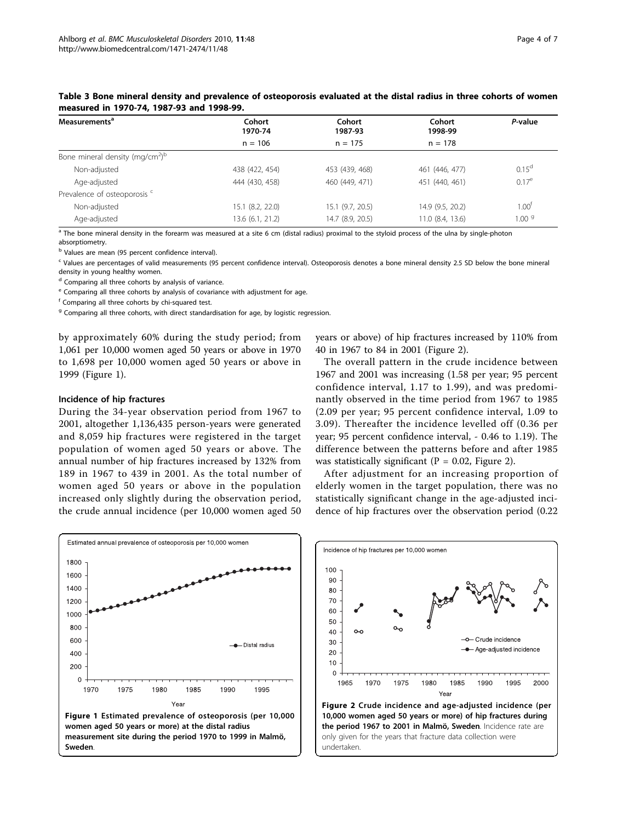| Measurements <sup>a</sup>                  | Cohort<br>1970-74 | Cohort<br>1987-93 | Cohort<br>1998-99 | P-value           |
|--------------------------------------------|-------------------|-------------------|-------------------|-------------------|
|                                            | $n = 106$         | $n = 175$         | $n = 178$         |                   |
| Bone mineral density (mg/cm <sup>2)b</sup> |                   |                   |                   |                   |
| Non-adjusted                               | 438 (422, 454)    | 453 (439, 468)    | 461 (446, 477)    | 0.15 <sup>d</sup> |
| Age-adjusted                               | 444 (430, 458)    | 460 (449, 471)    | 451 (440, 461)    | $0.17^e$          |
| Prevalence of osteoporosis <sup>c</sup>    |                   |                   |                   |                   |
| Non-adjusted                               | 15.1 (8.2, 22.0)  | 15.1 (9.7, 20.5)  | 14.9 (9.5, 20.2)  | 1.00 <sup>†</sup> |
| Age-adjusted                               | 13.6 (6.1, 21.2)  | 14.7 (8.9, 20.5)  | 11.0 (8.4, 13.6)  | 1.00 <sup>9</sup> |

<span id="page-3-0"></span>Table 3 Bone mineral density and prevalence of osteoporosis evaluated at the distal radius in three cohorts of women measured in 1970-74, 1987-93 and 1998-99.

 $\frac{1}{\sqrt{2}}$  The bone mineral density in the forearm was measured at a site 6 cm (distal radius) proximal to the styloid process of the ulna by single-photon absorptiometry.

<sup>b</sup> Values are mean (95 percent confidence interval).

<sup>c</sup> Values are percentages of valid measurements (95 percent confidence interval). Osteoporosis denotes a bone mineral density 2.5 SD below the bone mineral density in young healthy women.

<sup>d</sup> Comparing all three cohorts by analysis of variance.

<sup>e</sup> Comparing all three cohorts by analysis of covariance with adjustment for age.

<sup>f</sup> Comparing all three cohorts by chi-squared test.

 $9$  Comparing all three cohorts, with direct standardisation for age, by logistic regression.

by approximately 60% during the study period; from 1,061 per 10,000 women aged 50 years or above in 1970 to 1,698 per 10,000 women aged 50 years or above in 1999 (Figure 1).

#### Incidence of hip fractures

During the 34-year observation period from 1967 to 2001, altogether 1,136,435 person-years were generated and 8,059 hip fractures were registered in the target population of women aged 50 years or above. The annual number of hip fractures increased by 132% from 189 in 1967 to 439 in 2001. As the total number of women aged 50 years or above in the population increased only slightly during the observation period, the crude annual incidence (per 10,000 women aged 50 years or above) of hip fractures increased by 110% from 40 in 1967 to 84 in 2001 (Figure 2).

The overall pattern in the crude incidence between 1967 and 2001 was increasing (1.58 per year; 95 percent confidence interval, 1.17 to 1.99), and was predominantly observed in the time period from 1967 to 1985 (2.09 per year; 95 percent confidence interval, 1.09 to 3.09). Thereafter the incidence levelled off (0.36 per year; 95 percent confidence interval, - 0.46 to 1.19). The difference between the patterns before and after 1985 was statistically significant ( $P = 0.02$ , Figure 2).

After adjustment for an increasing proportion of elderly women in the target population, there was no statistically significant change in the age-adjusted incidence of hip fractures over the observation period (0.22



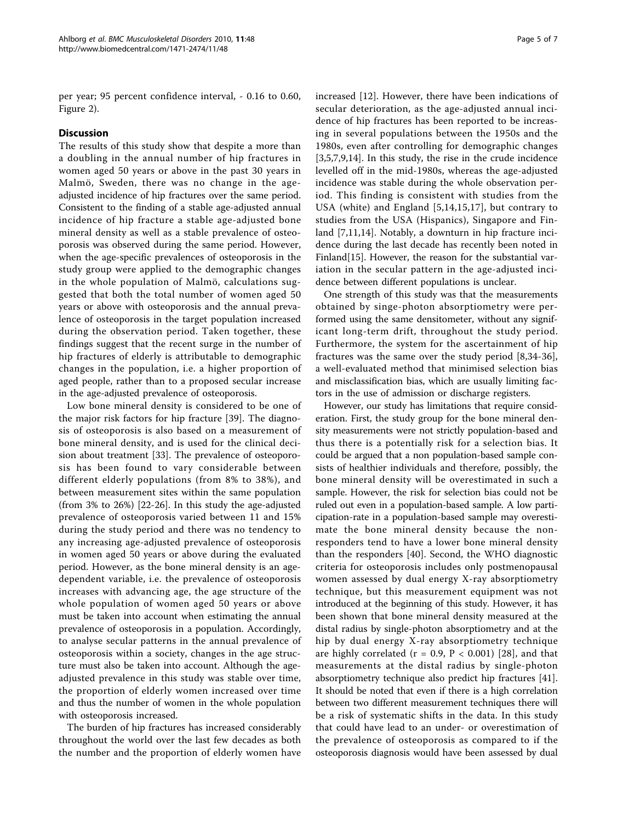per year; 95 percent confidence interval, - 0.16 to 0.60, Figure [2](#page-3-0)).

# **Discussion**

The results of this study show that despite a more than a doubling in the annual number of hip fractures in women aged 50 years or above in the past 30 years in Malmö, Sweden, there was no change in the ageadjusted incidence of hip fractures over the same period. Consistent to the finding of a stable age-adjusted annual incidence of hip fracture a stable age-adjusted bone mineral density as well as a stable prevalence of osteoporosis was observed during the same period. However, when the age-specific prevalences of osteoporosis in the study group were applied to the demographic changes in the whole population of Malmö, calculations suggested that both the total number of women aged 50 years or above with osteoporosis and the annual prevalence of osteoporosis in the target population increased during the observation period. Taken together, these findings suggest that the recent surge in the number of hip fractures of elderly is attributable to demographic changes in the population, i.e. a higher proportion of aged people, rather than to a proposed secular increase in the age-adjusted prevalence of osteoporosis.

Low bone mineral density is considered to be one of the major risk factors for hip fracture [[39\]](#page-6-0). The diagnosis of osteoporosis is also based on a measurement of bone mineral density, and is used for the clinical decision about treatment [[33\]](#page-6-0). The prevalence of osteoporosis has been found to vary considerable between different elderly populations (from 8% to 38%), and between measurement sites within the same population (from 3% to 26%) [[22](#page-5-0)[-26](#page-6-0)]. In this study the age-adjusted prevalence of osteoporosis varied between 11 and 15% during the study period and there was no tendency to any increasing age-adjusted prevalence of osteoporosis in women aged 50 years or above during the evaluated period. However, as the bone mineral density is an agedependent variable, i.e. the prevalence of osteoporosis increases with advancing age, the age structure of the whole population of women aged 50 years or above must be taken into account when estimating the annual prevalence of osteoporosis in a population. Accordingly, to analyse secular patterns in the annual prevalence of osteoporosis within a society, changes in the age structure must also be taken into account. Although the ageadjusted prevalence in this study was stable over time, the proportion of elderly women increased over time and thus the number of women in the whole population with osteoporosis increased.

The burden of hip fractures has increased considerably throughout the world over the last few decades as both the number and the proportion of elderly women have increased [\[12](#page-5-0)]. However, there have been indications of secular deterioration, as the age-adjusted annual incidence of hip fractures has been reported to be increasing in several populations between the 1950s and the 1980s, even after controlling for demographic changes [[3,5,7,9,14\]](#page-5-0). In this study, the rise in the crude incidence levelled off in the mid-1980s, whereas the age-adjusted incidence was stable during the whole observation period. This finding is consistent with studies from the USA (white) and England [[5,14,15,17](#page-5-0)], but contrary to studies from the USA (Hispanics), Singapore and Finland [[7,11,14](#page-5-0)]. Notably, a downturn in hip fracture incidence during the last decade has recently been noted in Finland[\[15](#page-5-0)]. However, the reason for the substantial variation in the secular pattern in the age-adjusted incidence between different populations is unclear.

One strength of this study was that the measurements obtained by singe-photon absorptiometry were performed using the same densitometer, without any significant long-term drift, throughout the study period. Furthermore, the system for the ascertainment of hip fractures was the same over the study period [[8](#page-5-0)[,34](#page-6-0)-[36](#page-6-0)], a well-evaluated method that minimised selection bias and misclassification bias, which are usually limiting factors in the use of admission or discharge registers.

However, our study has limitations that require consideration. First, the study group for the bone mineral density measurements were not strictly population-based and thus there is a potentially risk for a selection bias. It could be argued that a non population-based sample consists of healthier individuals and therefore, possibly, the bone mineral density will be overestimated in such a sample. However, the risk for selection bias could not be ruled out even in a population-based sample. A low participation-rate in a population-based sample may overestimate the bone mineral density because the nonresponders tend to have a lower bone mineral density than the responders [[40](#page-6-0)]. Second, the WHO diagnostic criteria for osteoporosis includes only postmenopausal women assessed by dual energy X-ray absorptiometry technique, but this measurement equipment was not introduced at the beginning of this study. However, it has been shown that bone mineral density measured at the distal radius by single-photon absorptiometry and at the hip by dual energy X-ray absorptiometry technique are highly correlated ( $r = 0.9$ ,  $P < 0.001$ ) [\[28](#page-6-0)], and that measurements at the distal radius by single-photon absorptiometry technique also predict hip fractures [\[41](#page-6-0)]. It should be noted that even if there is a high correlation between two different measurement techniques there will be a risk of systematic shifts in the data. In this study that could have lead to an under- or overestimation of the prevalence of osteoporosis as compared to if the osteoporosis diagnosis would have been assessed by dual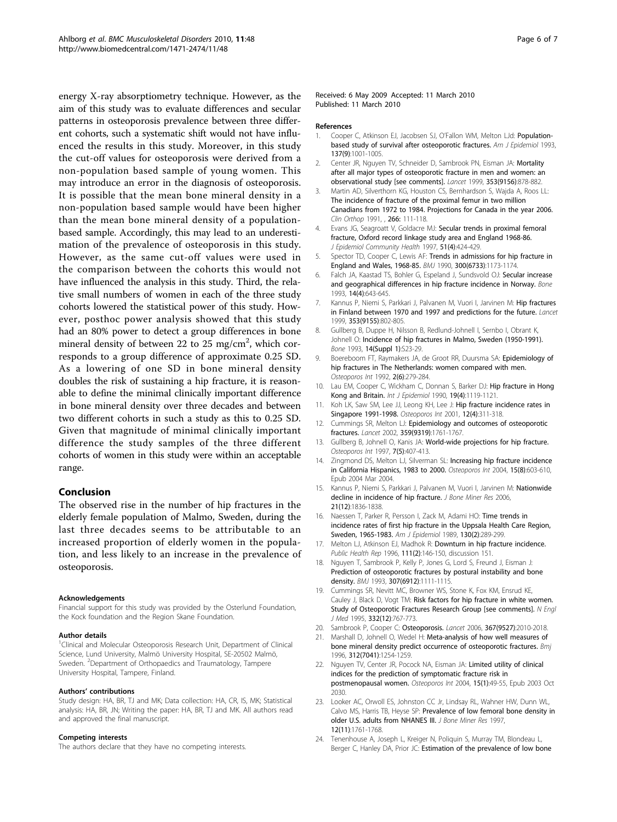<span id="page-5-0"></span>energy X-ray absorptiometry technique. However, as the aim of this study was to evaluate differences and secular patterns in osteoporosis prevalence between three different cohorts, such a systematic shift would not have influenced the results in this study. Moreover, in this study the cut-off values for osteoporosis were derived from a non-population based sample of young women. This may introduce an error in the diagnosis of osteoporosis. It is possible that the mean bone mineral density in a non-population based sample would have been higher than the mean bone mineral density of a populationbased sample. Accordingly, this may lead to an underestimation of the prevalence of osteoporosis in this study. However, as the same cut-off values were used in the comparison between the cohorts this would not have influenced the analysis in this study. Third, the relative small numbers of women in each of the three study cohorts lowered the statistical power of this study. However, posthoc power analysis showed that this study had an 80% power to detect a group differences in bone mineral density of between 22 to 25 mg/cm<sup>2</sup>, which corresponds to a group difference of approximate 0.25 SD. As a lowering of one SD in bone mineral density doubles the risk of sustaining a hip fracture, it is reasonable to define the minimal clinically important difference in bone mineral density over three decades and between two different cohorts in such a study as this to 0.25 SD. Given that magnitude of minimal clinically important difference the study samples of the three different cohorts of women in this study were within an acceptable range.

## Conclusion

The observed rise in the number of hip fractures in the elderly female population of Malmo, Sweden, during the last three decades seems to be attributable to an increased proportion of elderly women in the population, and less likely to an increase in the prevalence of osteoporosis.

#### Acknowledgements

Financial support for this study was provided by the Osterlund Foundation, the Kock foundation and the Region Skane Foundation.

#### Author details

<sup>1</sup>Clinical and Molecular Osteoporosis Research Unit, Department of Clinical Science, Lund University, Malmö University Hospital, SE-20502 Malmö, Sweden. <sup>2</sup>Department of Orthopaedics and Traumatology, Tampere University Hospital, Tampere, Finland.

#### Authors' contributions

Study design: HA, BR, TJ and MK; Data collection: HA, CR, IS, MK; Statistical analysis: HA, BR, JN; Writing the paper: HA, BR, TJ and MK. All authors read and approved the final manuscript.

#### Competing interests

The authors declare that they have no competing interests.

#### Received: 6 May 2009 Accepted: 11 March 2010 Published: 11 March 2010

#### References

- Cooper C, Atkinson EJ, Jacobsen SJ, O'Fallon WM, Melton LJd: [Population](http://www.ncbi.nlm.nih.gov/pubmed/8317445?dopt=Abstract)[based study of survival after osteoporotic fractures.](http://www.ncbi.nlm.nih.gov/pubmed/8317445?dopt=Abstract) Am J Epidemiol 1993, 137(9):1001-1005.
- 2. Center JR, Nguyen TV, Schneider D, Sambrook PN, Eisman JA: [Mortality](http://www.ncbi.nlm.nih.gov/pubmed/10093980?dopt=Abstract) [after all major types of osteoporotic fracture in men and women: an](http://www.ncbi.nlm.nih.gov/pubmed/10093980?dopt=Abstract) [observational study \[see comments\].](http://www.ncbi.nlm.nih.gov/pubmed/10093980?dopt=Abstract) Lancet 1999, 353(9156):878-882.
- Martin AD, Silverthorn KG, Houston CS, Bernhardson S, Wajda A, Roos LL: [The incidence of fracture of the proximal femur in two million](http://www.ncbi.nlm.nih.gov/pubmed/2019038?dopt=Abstract) [Canadians from 1972 to 1984. Projections for Canada in the year 2006.](http://www.ncbi.nlm.nih.gov/pubmed/2019038?dopt=Abstract) Clin Orthop 1991, , 266: 111-118.
- 4. Evans JG, Seagroatt V, Goldacre MJ: [Secular trends in proximal femoral](http://www.ncbi.nlm.nih.gov/pubmed/9328551?dopt=Abstract) [fracture, Oxford record linkage study area and England 1968-86.](http://www.ncbi.nlm.nih.gov/pubmed/9328551?dopt=Abstract) J Epidemiol Community Health 1997, 51(4):424-429.
- Spector TD, Cooper C, Lewis AF: [Trends in admissions for hip fracture in](http://www.ncbi.nlm.nih.gov/pubmed/2346804?dopt=Abstract) [England and Wales, 1968-85.](http://www.ncbi.nlm.nih.gov/pubmed/2346804?dopt=Abstract) BMJ 1990, 300(6733):1173-1174.
- 6. Falch JA, Kaastad TS, Bohler G, Espeland J, Sundsvold OJ: [Secular increase](http://www.ncbi.nlm.nih.gov/pubmed/8274307?dopt=Abstract) [and geographical differences in hip fracture incidence in Norway.](http://www.ncbi.nlm.nih.gov/pubmed/8274307?dopt=Abstract) Bone 1993, 14(4):643-645.
- 7. Kannus P, Niemi S, Parkkari J, Palvanen M, Vuori I, Jarvinen M: [Hip fractures](http://www.ncbi.nlm.nih.gov/pubmed/10459962?dopt=Abstract) [in Finland between 1970 and 1997 and predictions for the future.](http://www.ncbi.nlm.nih.gov/pubmed/10459962?dopt=Abstract) Lancet 1999, 353(9155):802-805.
- 8. Gullberg B, Duppe H, Nilsson B, Redlund-Johnell I, Sernbo I, Obrant K, Johnell O: [Incidence of hip fractures in Malmo, Sweden \(1950-1991\).](http://www.ncbi.nlm.nih.gov/pubmed/8110516?dopt=Abstract) Bone 1993, 14(Suppl 1):S23-29.
- 9. Boereboom FT, Raymakers JA, de Groot RR, Duursma SA: [Epidemiology of](http://www.ncbi.nlm.nih.gov/pubmed/1421795?dopt=Abstract) [hip fractures in The Netherlands: women compared with men.](http://www.ncbi.nlm.nih.gov/pubmed/1421795?dopt=Abstract) Osteoporos Int 1992, 2(6):279-284.
- 10. Lau EM, Cooper C, Wickham C, Donnan S, Barker DJ: [Hip fracture in Hong](http://www.ncbi.nlm.nih.gov/pubmed/2084000?dopt=Abstract) [Kong and Britain.](http://www.ncbi.nlm.nih.gov/pubmed/2084000?dopt=Abstract) Int J Epidemiol 1990, 19(4):1119-1121.
- 11. Koh LK, Saw SM, Lee JJ, Leong KH, Lee J: [Hip fracture incidence rates in](http://www.ncbi.nlm.nih.gov/pubmed/11420781?dopt=Abstract) [Singapore 1991-1998.](http://www.ncbi.nlm.nih.gov/pubmed/11420781?dopt=Abstract) Osteoporos Int 2001, 12(4):311-318.
- 12. Cummings SR, Melton LJ: [Epidemiology and outcomes of osteoporotic](http://www.ncbi.nlm.nih.gov/pubmed/12049882?dopt=Abstract) [fractures.](http://www.ncbi.nlm.nih.gov/pubmed/12049882?dopt=Abstract) Lancet 2002, 359(9319):1761-1767.
- 13. Gullberg B, Johnell O, Kanis JA: [World-wide projections for hip fracture.](http://www.ncbi.nlm.nih.gov/pubmed/9425497?dopt=Abstract) Osteoporos Int 1997, 7(5):407-413.
- 14. Zingmond DS, Melton LJ, Silverman SL: [Increasing hip fracture incidence](http://www.ncbi.nlm.nih.gov/pubmed/15004666?dopt=Abstract) [in California Hispanics, 1983 to 2000.](http://www.ncbi.nlm.nih.gov/pubmed/15004666?dopt=Abstract) Osteoporos Int 2004, 15(8):603-610, Epub 2004 Mar 2004.
- 15. Kannus P, Niemi S, Parkkari J, Palvanen M, Vuori I, Jarvinen M: [Nationwide](http://www.ncbi.nlm.nih.gov/pubmed/17002578?dopt=Abstract) [decline in incidence of hip fracture.](http://www.ncbi.nlm.nih.gov/pubmed/17002578?dopt=Abstract) J Bone Miner Res 2006, 21(12):1836-1838.
- 16. Naessen T, Parker R, Persson I, Zack M, Adami HO: [Time trends in](http://www.ncbi.nlm.nih.gov/pubmed/2487033?dopt=Abstract) [incidence rates of first hip fracture in the Uppsala Health Care Region,](http://www.ncbi.nlm.nih.gov/pubmed/2487033?dopt=Abstract) [Sweden, 1965-1983.](http://www.ncbi.nlm.nih.gov/pubmed/2487033?dopt=Abstract) Am J Epidemiol 1989, 130(2):289-299.
- 17. Melton LJ, Atkinson EJ, Madhok R: [Downturn in hip fracture incidence.](http://www.ncbi.nlm.nih.gov/pubmed/8606913?dopt=Abstract) Public Health Rep 1996, 111(2):146-150, discussion 151.
- 18. Nguyen T, Sambrook P, Kelly P, Jones G, Lord S, Freund J, Eisman J: [Prediction of osteoporotic fractures by postural instability and bone](http://www.ncbi.nlm.nih.gov/pubmed/8251809?dopt=Abstract) [density.](http://www.ncbi.nlm.nih.gov/pubmed/8251809?dopt=Abstract) BMJ 1993, 307(6912):1111-1115.
- 19. Cummings SR, Nevitt MC, Browner WS, Stone K, Fox KM, Ensrud KE, Cauley J, Black D, Vogt TM: [Risk factors for hip fracture in white women.](http://www.ncbi.nlm.nih.gov/pubmed/7862179?dopt=Abstract) [Study of Osteoporotic Fractures Research Group \[see comments\].](http://www.ncbi.nlm.nih.gov/pubmed/7862179?dopt=Abstract) N Engl J Med 1995, 332(12):767-773.
- 20. Sambrook P, Cooper C: [Osteoporosis.](http://www.ncbi.nlm.nih.gov/pubmed/16782492?dopt=Abstract) Lancet 2006, 367(9527):2010-2018.
- 21. Marshall D, Johnell O, Wedel H: [Meta-analysis of how well measures of](http://www.ncbi.nlm.nih.gov/pubmed/8634613?dopt=Abstract) [bone mineral density predict occurrence of osteoporotic fractures.](http://www.ncbi.nlm.nih.gov/pubmed/8634613?dopt=Abstract) Bmj 1996, 312(7041):1254-1259.
- 22. Nguyen TV, Center JR, Pocock NA, Eisman JA: [Limited utility of clinical](http://www.ncbi.nlm.nih.gov/pubmed/14593453?dopt=Abstract) [indices for the prediction of symptomatic fracture risk in](http://www.ncbi.nlm.nih.gov/pubmed/14593453?dopt=Abstract) [postmenopausal women.](http://www.ncbi.nlm.nih.gov/pubmed/14593453?dopt=Abstract) Osteoporos Int 2004, 15(1):49-55, Epub 2003 Oct 2030.
- 23. Looker AC, Orwoll ES, Johnston CC Jr, Lindsay RL, Wahner HW, Dunn WL, Calvo MS, Harris TB, Heyse SP: [Prevalence of low femoral bone density in](http://www.ncbi.nlm.nih.gov/pubmed/9383679?dopt=Abstract) [older U.S. adults from NHANES III.](http://www.ncbi.nlm.nih.gov/pubmed/9383679?dopt=Abstract) J Bone Miner Res 1997, 12(11):1761-1768.
- 24. Tenenhouse A, Joseph L, Kreiger N, Poliquin S, Murray TM, Blondeau L, Berger C, Hanley DA, Prior JC: [Estimation of the prevalence of low bone](http://www.ncbi.nlm.nih.gov/pubmed/11199195?dopt=Abstract)